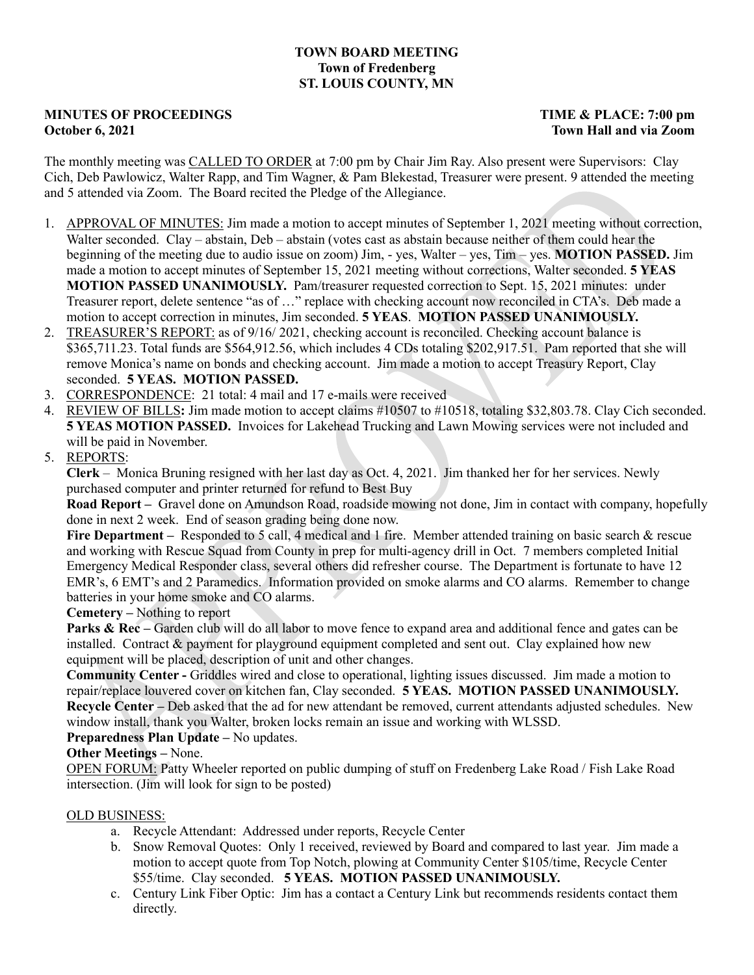# **TOWN BOARD MEETING Town of Fredenberg ST. LOUIS COUNTY, MN**

# **MINUTES OF PROCEEDINGS** TIME & PLACE: 7:00 pm **October 6, 2021 Town Hall and via Zoom**

The monthly meeting was CALLED TO ORDER at 7:00 pm by Chair Jim Ray. Also present were Supervisors: Clay Cich, Deb Pawlowicz, Walter Rapp, and Tim Wagner, & Pam Blekestad, Treasurer were present. 9 attended the meeting and 5 attended via Zoom. The Board recited the Pledge of the Allegiance.

- 1. APPROVAL OF MINUTES: Jim made a motion to accept minutes of September 1, 2021 meeting without correction, Walter seconded. Clay – abstain, Deb – abstain (votes cast as abstain because neither of them could hear the beginning of the meeting due to audio issue on zoom) Jim, - yes, Walter – yes, Tim – yes. **MOTION PASSED.** Jim made a motion to accept minutes of September 15, 2021 meeting without corrections, Walter seconded. **5 YEAS MOTION PASSED UNANIMOUSLY.** Pam/treasurer requested correction to Sept. 15, 2021 minutes: under Treasurer report, delete sentence "as of …" replace with checking account now reconciled in CTA's. Deb made a motion to accept correction in minutes, Jim seconded. **5 YEAS**. **MOTION PASSED UNANIMOUSLY.**
- 2. TREASURER'S REPORT: as of 9/16/ 2021, checking account is reconciled. Checking account balance is \$365,711.23. Total funds are \$564,912.56, which includes 4 CDs totaling \$202,917.51. Pam reported that she will remove Monica's name on bonds and checking account. Jim made a motion to accept Treasury Report, Clay seconded. **5 YEAS. MOTION PASSED.**
- 3. CORRESPONDENCE: 21 total: 4 mail and 17 e-mails were received
- 4. REVIEW OF BILLS**:** Jim made motion to accept claims #10507 to #10518, totaling \$32,803.78. Clay Cich seconded. **5 YEAS MOTION PASSED.** Invoices for Lakehead Trucking and Lawn Mowing services were not included and will be paid in November.
- 5. REPORTS:

**Clerk** – Monica Bruning resigned with her last day as Oct. 4, 2021. Jim thanked her for her services. Newly purchased computer and printer returned for refund to Best Buy

**Road Report –** Gravel done on Amundson Road, roadside mowing not done, Jim in contact with company, hopefully done in next 2 week. End of season grading being done now.

**Fire Department –** Responded to 5 call, 4 medical and 1 fire. Member attended training on basic search & rescue and working with Rescue Squad from County in prep for multi-agency drill in Oct. 7 members completed Initial Emergency Medical Responder class, several others did refresher course. The Department is fortunate to have 12 EMR's, 6 EMT's and 2 Paramedics. Information provided on smoke alarms and CO alarms. Remember to change batteries in your home smoke and CO alarms.

## **Cemetery –** Nothing to report

**Parks & Rec** – Garden club will do all labor to move fence to expand area and additional fence and gates can be installed. Contract & payment for playground equipment completed and sent out. Clay explained how new equipment will be placed, description of unit and other changes.

**Community Center -** Griddles wired and close to operational, lighting issues discussed. Jim made a motion to repair/replace louvered cover on kitchen fan, Clay seconded. **5 YEAS. MOTION PASSED UNANIMOUSLY. Recycle Center –** Deb asked that the ad for new attendant be removed, current attendants adjusted schedules. New window install, thank you Walter, broken locks remain an issue and working with WLSSD.

## **Preparedness Plan Update –** No updates.

**Other Meetings –** None.

OPEN FORUM: Patty Wheeler reported on public dumping of stuff on Fredenberg Lake Road / Fish Lake Road intersection. (Jim will look for sign to be posted)

## OLD BUSINESS:

- a. Recycle Attendant: Addressed under reports, Recycle Center
- b. Snow Removal Quotes: Only 1 received, reviewed by Board and compared to last year. Jim made a motion to accept quote from Top Notch, plowing at Community Center \$105/time, Recycle Center \$55/time. Clay seconded. **5 YEAS. MOTION PASSED UNANIMOUSLY.**
- c. Century Link Fiber Optic: Jim has a contact a Century Link but recommends residents contact them directly.